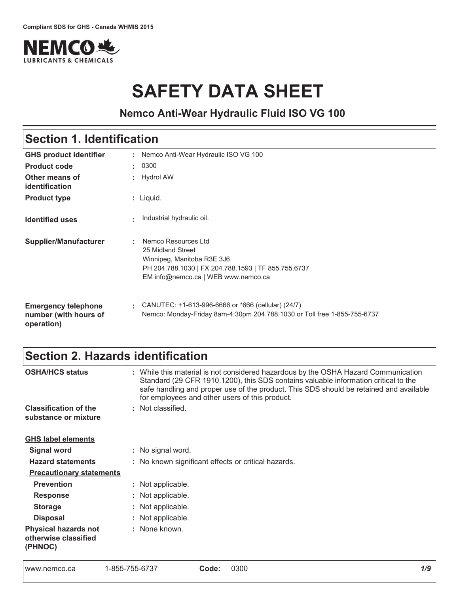

# **SAFETY DATA SHEET**

# **Nemco Anti-Wear Hydraulic Fluid ISO VG 100**

# Section 1. Identification

| <b>GHS product identifier</b>                                     | ÷. | Nemco Anti-Wear Hydraulic ISO VG 100                                                                                                                                 |
|-------------------------------------------------------------------|----|----------------------------------------------------------------------------------------------------------------------------------------------------------------------|
| <b>Product code</b>                                               |    | : 0300                                                                                                                                                               |
| Other means of<br>identification                                  |    | $:$ Hydrol AW                                                                                                                                                        |
| <b>Product type</b>                                               |    | $:$ Liquid.                                                                                                                                                          |
| <b>Identified uses</b>                                            | ÷. | Industrial hydraulic oil.                                                                                                                                            |
| Supplier/Manufacturer                                             | ÷. | Nemco Resources Ltd<br>25 Midland Street<br>Winnipeg, Manitoba R3E 3J6<br>PH 204.788.1030   FX 204.788.1593   TF 855.755.6737<br>EM info@nemco.ca   WEB www.nemco.ca |
| <b>Emergency telephone</b><br>number (with hours of<br>operation) | ÷. | CANUTEC: +1-613-996-6666 or *666 (cellular) (24/7)<br>Nemco: Monday-Friday 8am-4:30pm 204.788.1030 or Toll free 1-855-755-6737                                       |

# Section 2. Hazards identification

| <b>OSHA/HCS status</b>                                         | : While this material is not considered hazardous by the OSHA Hazard Communication<br>Standard (29 CFR 1910.1200), this SDS contains valuable information critical to the<br>safe handling and proper use of the product. This SDS should be retained and available<br>for employees and other users of this product. |
|----------------------------------------------------------------|-----------------------------------------------------------------------------------------------------------------------------------------------------------------------------------------------------------------------------------------------------------------------------------------------------------------------|
| <b>Classification of the</b>                                   | : Not classified.                                                                                                                                                                                                                                                                                                     |
| substance or mixture                                           |                                                                                                                                                                                                                                                                                                                       |
| <b>GHS label elements</b>                                      |                                                                                                                                                                                                                                                                                                                       |
| <b>Signal word</b>                                             | : No signal word.                                                                                                                                                                                                                                                                                                     |
| <b>Hazard statements</b>                                       | : No known significant effects or critical hazards.                                                                                                                                                                                                                                                                   |
| <b>Precautionary statements</b>                                |                                                                                                                                                                                                                                                                                                                       |
| <b>Prevention</b>                                              | : Not applicable.                                                                                                                                                                                                                                                                                                     |
| <b>Response</b>                                                | : Not applicable.                                                                                                                                                                                                                                                                                                     |
| <b>Storage</b>                                                 | : Not applicable.                                                                                                                                                                                                                                                                                                     |
| <b>Disposal</b>                                                | : Not applicable.                                                                                                                                                                                                                                                                                                     |
| <b>Physical hazards not</b><br>otherwise classified<br>(PHNOC) | : None known.                                                                                                                                                                                                                                                                                                         |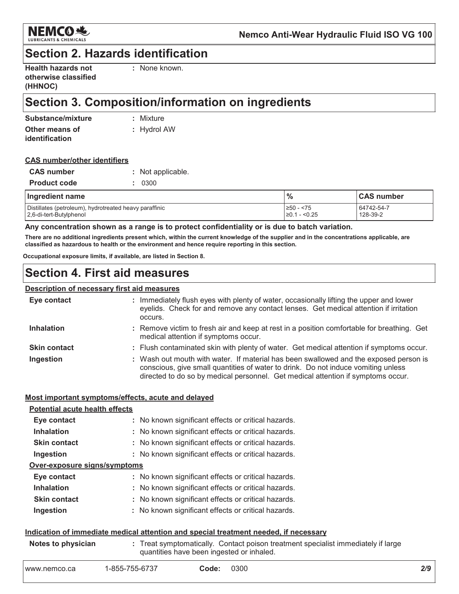

### **Section 2. Hazards identification**

| <b>Health hazards not</b> |
|---------------------------|
| otherwise classified      |
| (HHNOC)                   |

: None known.

# Section 3. Composition/information on ingredients

| Substance/mixture | : Mixture     |
|-------------------|---------------|
| Other means of    | $:$ Hydrol AW |
| identification    |               |

#### **CAS number/other identifiers**

| <b>CAS number</b>   | : Not applicable. |
|---------------------|-------------------|
| <b>Product code</b> | : 0300            |

| Ingredient name                                        | $\%$                | <b>CAS number</b> |
|--------------------------------------------------------|---------------------|-------------------|
| Distillates (petroleum), hydrotreated heavy paraffinic | ≥50 - <75           | 64742-54-7        |
| 2,6-di-tert-Butylphenol                                | $\geq$ 0.1 - < 0.25 | 128-39-2          |

#### Any concentration shown as a range is to protect confidentiality or is due to batch variation.

There are no additional ingredients present which, within the current knowledge of the supplier and in the concentrations applicable, are classified as hazardous to health or the environment and hence require reporting in this section.

Occupational exposure limits, if available, are listed in Section 8.

### **Section 4. First aid measures**

#### **Description of necessary first aid measures**

| Eye contact         | : Immediately flush eyes with plenty of water, occasionally lifting the upper and lower<br>eyelids. Check for and remove any contact lenses. Get medical attention if irritation<br>occurs.                                                                    |
|---------------------|----------------------------------------------------------------------------------------------------------------------------------------------------------------------------------------------------------------------------------------------------------------|
| <b>Inhalation</b>   | : Remove victim to fresh air and keep at rest in a position comfortable for breathing. Get<br>medical attention if symptoms occur.                                                                                                                             |
| <b>Skin contact</b> | : Flush contaminated skin with plenty of water. Get medical attention if symptoms occur.                                                                                                                                                                       |
| Ingestion           | : Wash out mouth with water. If material has been swallowed and the exposed person is<br>conscious, give small quantities of water to drink. Do not induce vomiting unless<br>directed to do so by medical personnel. Get medical attention if symptoms occur. |

#### Most important symptoms/effects, acute and delayed

| <b>Potential acute health effects</b> |                                                     |
|---------------------------------------|-----------------------------------------------------|
| Eye contact                           | : No known significant effects or critical hazards. |
| <b>Inhalation</b>                     | : No known significant effects or critical hazards. |
| <b>Skin contact</b>                   | : No known significant effects or critical hazards. |
| Ingestion                             | : No known significant effects or critical hazards. |
| Over-exposure signs/symptoms          |                                                     |
| Eye contact                           | : No known significant effects or critical hazards. |
| <b>Inhalation</b>                     | : No known significant effects or critical hazards. |
| <b>Skin contact</b>                   | : No known significant effects or critical hazards. |
| Ingestion                             | : No known significant effects or critical hazards. |
|                                       |                                                     |

#### Indication of immediate medical attention and special treatment needed, if necessary

| Notes to physician | : Treat symptomatically. Contact poison treatment specialist immediately if large |
|--------------------|-----------------------------------------------------------------------------------|
|                    | quantities have been ingested or inhaled.                                         |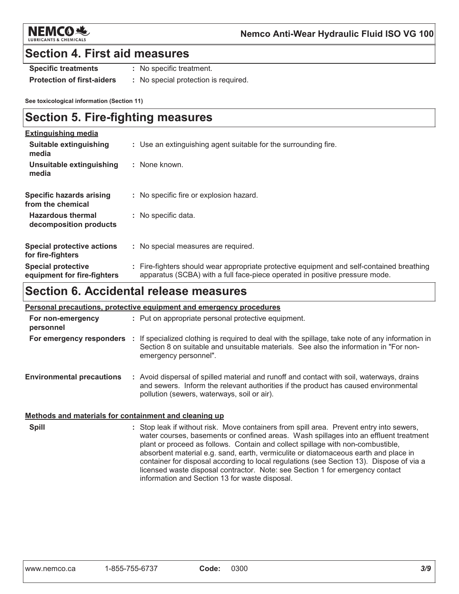

### **Section 4. First aid measures**

**Specific treatments** 

- : No specific treatment.
- **Protection of first-aiders** : No special protection is required.

See toxicological information (Section 11)

### **Section 5. Fire-fighting measures**

| <b>Extinguishing media</b>                               |                                                                                                                                                                          |
|----------------------------------------------------------|--------------------------------------------------------------------------------------------------------------------------------------------------------------------------|
| Suitable extinguishing<br>media                          | : Use an extinguishing agent suitable for the surrounding fire.                                                                                                          |
| Unsuitable extinguishing<br>media                        | : None known.                                                                                                                                                            |
| Specific hazards arising<br>from the chemical            | : No specific fire or explosion hazard.                                                                                                                                  |
| <b>Hazardous thermal</b><br>decomposition products       | : No specific data.                                                                                                                                                      |
| <b>Special protective actions</b><br>for fire-fighters   | : No special measures are required.                                                                                                                                      |
| <b>Special protective</b><br>equipment for fire-fighters | : Fire-fighters should wear appropriate protective equipment and self-contained breathing<br>apparatus (SCBA) with a full face-piece operated in positive pressure mode. |

# Section 6. Accidental release measures

| <b>Personal precautions, protective equipment and emergency procedures</b> |  |                                                                                                                                                                                                                                             |
|----------------------------------------------------------------------------|--|---------------------------------------------------------------------------------------------------------------------------------------------------------------------------------------------------------------------------------------------|
| For non-emergency<br>personnel                                             |  | : Put on appropriate personal protective equipment.                                                                                                                                                                                         |
|                                                                            |  | For emergency responders : If specialized clothing is required to deal with the spillage, take note of any information in<br>Section 8 on suitable and unsuitable materials. See also the information in "For non-<br>emergency personnel". |
| <b>Environmental precautions</b>                                           |  | : Avoid dispersal of spilled material and runoff and contact with soil, waterways, drains<br>and sewers. Inform the relevant authorities if the product has caused environmental<br>pollution (sewers, waterways, soil or air).             |

#### Methods and materials for containment and cleaning up

**Spill** : Stop leak if without risk. Move containers from spill area. Prevent entry into sewers, water courses, basements or confined areas. Wash spillages into an effluent treatment plant or proceed as follows. Contain and collect spillage with non-combustible, absorbent material e.g. sand, earth, vermiculite or diatomaceous earth and place in container for disposal according to local regulations (see Section 13). Dispose of via a licensed waste disposal contractor. Note: see Section 1 for emergency contact information and Section 13 for waste disposal.

0300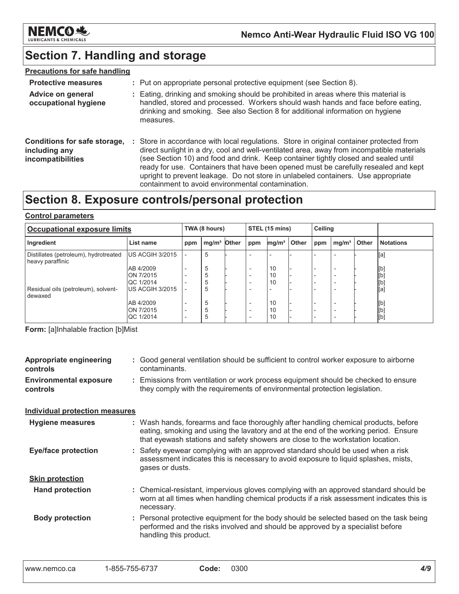

# Section 7. Handling and storage

### **Precautions for safe handling**

| <b>Protective measures</b>                                         | : Put on appropriate personal protective equipment (see Section 8).                                                                                                                                                                                                                                                                                                                                                                                                                                           |
|--------------------------------------------------------------------|---------------------------------------------------------------------------------------------------------------------------------------------------------------------------------------------------------------------------------------------------------------------------------------------------------------------------------------------------------------------------------------------------------------------------------------------------------------------------------------------------------------|
| <b>Advice on general</b><br>occupational hygiene                   | : Eating, drinking and smoking should be prohibited in areas where this material is<br>handled, stored and processed. Workers should wash hands and face before eating,<br>drinking and smoking. See also Section 8 for additional information on hygiene<br>measures.                                                                                                                                                                                                                                        |
| Conditions for safe storage,<br>including any<br>incompatibilities | : Store in accordance with local regulations. Store in original container protected from<br>direct sunlight in a dry, cool and well-ventilated area, away from incompatible materials<br>(see Section 10) and food and drink. Keep container tightly closed and sealed until<br>ready for use. Containers that have been opened must be carefully resealed and kept<br>upright to prevent leakage. Do not store in unlabeled containers. Use appropriate<br>containment to avoid environmental contamination. |

# Section 8. Exposure controls/personal protection

#### **Control parameters**

| Occupational exposure limits                              |                               | TWA (8 hours) |                         | STEL (15 mins) |                                                      | <b>Ceiling</b>    |       |     |                                                      |       |                  |
|-----------------------------------------------------------|-------------------------------|---------------|-------------------------|----------------|------------------------------------------------------|-------------------|-------|-----|------------------------------------------------------|-------|------------------|
| Ingredient                                                | List name                     | ppm           | mg/m <sup>3</sup> Other |                | ppm                                                  | mg/m <sup>3</sup> | Other | ppm | mg/m <sup>3</sup>                                    | Other | <b>Notations</b> |
| Distillates (petroleum), hydrotreated<br>heavy paraffinic | US ACGIH 3/2015               |               | 5                       |                |                                                      |                   |       |     |                                                      |       | [a]              |
|                                                           | AB 4/2009                     |               | 5                       |                | $\overline{\phantom{0}}$                             | 10                |       |     | $\overline{\phantom{a}}$                             |       | [b]              |
|                                                           | ON 7/2015<br>QC 1/2014        |               | 5                       |                | $\overline{\phantom{0}}$<br>$\overline{\phantom{0}}$ | 10<br>10          |       |     | $\overline{\phantom{a}}$<br>$\overline{\phantom{0}}$ |       | [b]<br>[b]       |
| Residual oils (petroleum), solvent-<br>dewaxed            | IUS ACGIH 3/2015              |               | 5                       |                |                                                      |                   |       |     |                                                      |       | [a]              |
|                                                           | AB 4/2009                     |               | 5                       |                |                                                      | 10                |       |     | -                                                    |       | [b]              |
|                                                           | ON 7/2015<br><b>QC 1/2014</b> |               | 5<br>5                  |                | $\overline{\phantom{0}}$<br>$\overline{\phantom{0}}$ | 10<br>10          |       |     | -<br>-                                               |       | [b]<br>[b]       |

Form: [a]Inhalable fraction [b]Mist

| : Good general ventilation should be sufficient to control worker exposure to airborne<br>contaminants.                                                                                                                                                       |
|---------------------------------------------------------------------------------------------------------------------------------------------------------------------------------------------------------------------------------------------------------------|
|                                                                                                                                                                                                                                                               |
| : Emissions from ventilation or work process equipment should be checked to ensure<br>they comply with the requirements of environmental protection legislation.                                                                                              |
| <b>Individual protection measures</b>                                                                                                                                                                                                                         |
| : Wash hands, forearms and face thoroughly after handling chemical products, before<br>eating, smoking and using the lavatory and at the end of the working period. Ensure<br>that eyewash stations and safety showers are close to the workstation location. |
| : Safety eyewear complying with an approved standard should be used when a risk<br>assessment indicates this is necessary to avoid exposure to liquid splashes, mists,<br>gases or dusts.                                                                     |
|                                                                                                                                                                                                                                                               |
| : Chemical-resistant, impervious gloves complying with an approved standard should be<br>worn at all times when handling chemical products if a risk assessment indicates this is<br>necessary.                                                               |
| : Personal protective equipment for the body should be selected based on the task being<br>performed and the risks involved and should be approved by a specialist before<br>handling this product.                                                           |
|                                                                                                                                                                                                                                                               |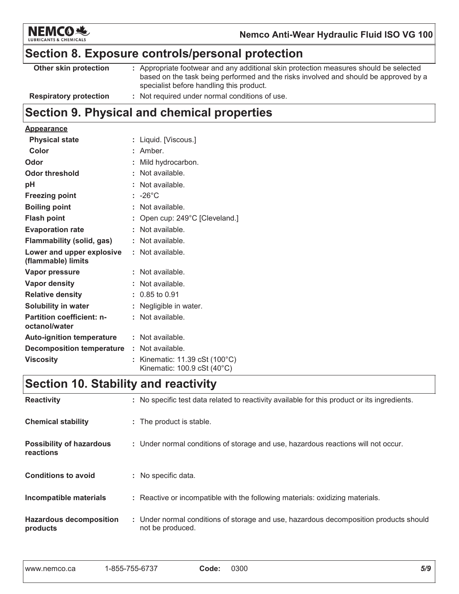

# Section 8. Exposure controls/personal protection

| Other skin protection         | : Appropriate footwear and any additional skin protection measures should be selected                                            |
|-------------------------------|----------------------------------------------------------------------------------------------------------------------------------|
|                               | based on the task being performed and the risks involved and should be approved by a<br>specialist before handling this product. |
| <b>Respiratory protection</b> | : Not required under normal conditions of use.                                                                                   |

# Section 9. Physical and chemical properties

#### **Appearance**

| <b>Physical state</b>                             | : Liquid. [Viscous.]                                                                    |
|---------------------------------------------------|-----------------------------------------------------------------------------------------|
| Color                                             | : Amber.                                                                                |
| Odor                                              | : Mild hydrocarbon.                                                                     |
| <b>Odor threshold</b>                             | : Not available.                                                                        |
| pH                                                | : Not available.                                                                        |
| <b>Freezing point</b>                             | $: -26^{\circ}$ C                                                                       |
| <b>Boiling point</b>                              | : Not available.                                                                        |
| <b>Flash point</b>                                | : Open cup: $249^{\circ}$ C [Cleveland.]                                                |
| <b>Evaporation rate</b>                           | : Not available.                                                                        |
| <b>Flammability (solid, gas)</b>                  | : Not available.                                                                        |
| Lower and upper explosive<br>(flammable) limits   | : Not available.                                                                        |
| Vapor pressure                                    | $:$ Not available.                                                                      |
| <b>Vapor density</b>                              | : Not available.                                                                        |
| <b>Relative density</b>                           | $: 0.85$ to 0.91                                                                        |
| <b>Solubility in water</b>                        | : Negligible in water.                                                                  |
| <b>Partition coefficient: n-</b><br>octanol/water | : Not available.                                                                        |
| <b>Auto-ignition temperature</b>                  | $:$ Not available.                                                                      |
| <b>Decomposition temperature</b>                  | $:$ Not available.                                                                      |
| <b>Viscosity</b>                                  | : Kinematic: $11.39 \text{ cSt } (100^{\circ} \text{C})$<br>Kinematic: 100.9 cSt (40°C) |

# Section 10. Stability and reactivity

| <b>Reactivity</b>                            | : No specific test data related to reactivity available for this product or its ingredients.              |
|----------------------------------------------|-----------------------------------------------------------------------------------------------------------|
| <b>Chemical stability</b>                    | : The product is stable.                                                                                  |
| <b>Possibility of hazardous</b><br>reactions | : Under normal conditions of storage and use, hazardous reactions will not occur.                         |
| <b>Conditions to avoid</b>                   | : No specific data.                                                                                       |
| Incompatible materials                       | : Reactive or incompatible with the following materials: oxidizing materials.                             |
| <b>Hazardous decomposition</b><br>products   | : Under normal conditions of storage and use, hazardous decomposition products should<br>not be produced. |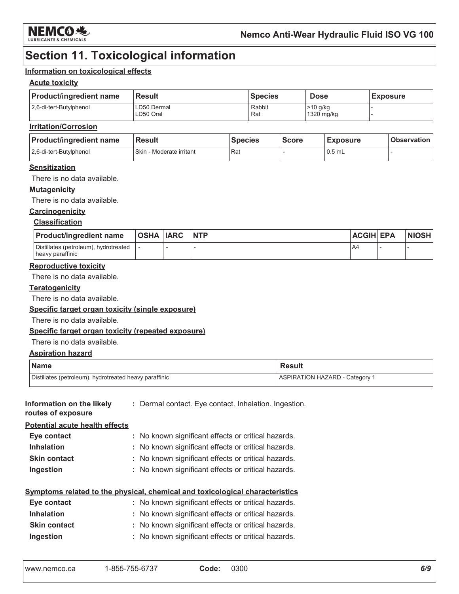

# **Section 11. Toxicological information**

#### Information on toxicological effects

#### **Acute toxicity**

| <b>Product/ingredient name</b> | <b>Result</b>            | <b>Species</b> | <b>Dose</b>                      | <b>Exposure</b> |
|--------------------------------|--------------------------|----------------|----------------------------------|-----------------|
| 2.6-di-tert-Butylphenol        | LD50 Dermal<br>LD50 Oral | Rabbit<br>Rat  | <b>&gt;10 g/kg</b><br>1320 mg/kg |                 |

#### **Irritation/Corrosion**

| <b>Product/ingredient name</b> | <b>Result</b>            | <b>Species</b> | <b>Score</b> | <b>Exposure</b> | <b>Observation</b> |
|--------------------------------|--------------------------|----------------|--------------|-----------------|--------------------|
| 2.6-di-tert-Butylphenol        | Skin - Moderate irritant | Rat            |              | $0.5$ mL        |                    |

#### **Sensitization**

There is no data available.

#### **Mutagenicity**

There is no data available.

#### Carcinogenicity

#### **Classification**

| <b>Product/ingredient name</b>                            | OSHA  IARC | <b>NTP</b> | <b>ACGIH EPA</b> | <b>NIOSH</b> |
|-----------------------------------------------------------|------------|------------|------------------|--------------|
| Distillates (petroleum), hydrotreated<br>heavy paraffinic |            |            | <b>A4</b>        |              |

#### **Reproductive toxicity**

There is no data available.

#### **Teratogenicity**

There is no data available.

#### Specific target organ toxicity (single exposure)

There is no data available.

#### Specific target organ toxicity (repeated exposure)

There is no data available.

#### **Aspiration hazard**

| <b>Name</b>                                            | Result                                |
|--------------------------------------------------------|---------------------------------------|
| Distillates (petroleum), hydrotreated heavy paraffinic | <b>ASPIRATION HAZARD - Category 1</b> |

| Information on the likely<br>routes of exposure | : Dermal contact. Eye contact. Inhalation. Ingestion.                        |
|-------------------------------------------------|------------------------------------------------------------------------------|
| <b>Potential acute health effects</b>           |                                                                              |
| Eye contact                                     | : No known significant effects or critical hazards.                          |
| <b>Inhalation</b>                               | : No known significant effects or critical hazards.                          |
| <b>Skin contact</b>                             | : No known significant effects or critical hazards.                          |
| Ingestion                                       | : No known significant effects or critical hazards.                          |
|                                                 | Symptoms related to the physical, chemical and toxicological characteristics |
| Eye contact                                     | : No known significant effects or critical hazards.                          |
| Inhalation                                      | : No known significant effects or critical hazards                           |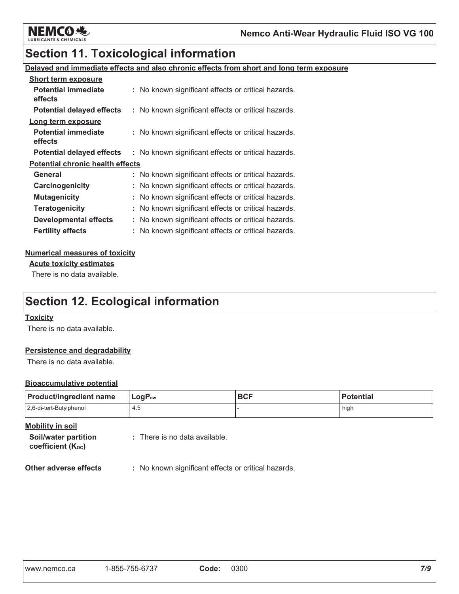

# **Section 11. Toxicological information**

#### Delayed and immediate effects and also chronic effects from short and long term exposure

| <b>Short term exposure</b>              |                                                     |
|-----------------------------------------|-----------------------------------------------------|
| <b>Potential immediate</b><br>effects   | : No known significant effects or critical hazards. |
| <b>Potential delayed effects</b>        | : No known significant effects or critical hazards. |
| Long term exposure                      |                                                     |
| <b>Potential immediate</b><br>effects   | : No known significant effects or critical hazards. |
| <b>Potential delayed effects</b>        | : No known significant effects or critical hazards. |
| <b>Potential chronic health effects</b> |                                                     |
| General                                 | : No known significant effects or critical hazards. |
| Carcinogenicity                         | : No known significant effects or critical hazards. |
| <b>Mutagenicity</b>                     | No known significant effects or critical hazards.   |
| <b>Teratogenicity</b>                   | No known significant effects or critical hazards.   |
| <b>Developmental effects</b>            | No known significant effects or critical hazards.   |
| <b>Fertility effects</b>                | : No known significant effects or critical hazards. |

#### **Numerical measures of toxicity**

**Acute toxicity estimates** 

There is no data available.

# **Section 12. Ecological information**

#### **Toxicity**

There is no data available.

#### **Persistence and degradability**

There is no data available.

#### **Bioaccumulative potential**

| <b>Product/ingredient name</b> | $LogP_{ow}$ | <b>BCF</b> | Potential |  |
|--------------------------------|-------------|------------|-----------|--|
| 2,6-di-tert-Butylphenol        | 4.5         |            | high      |  |

**Mobility in soil** 

Soil/water partition coefficient (Koc)

: There is no data available.

Other adverse effects : No known significant effects or critical hazards.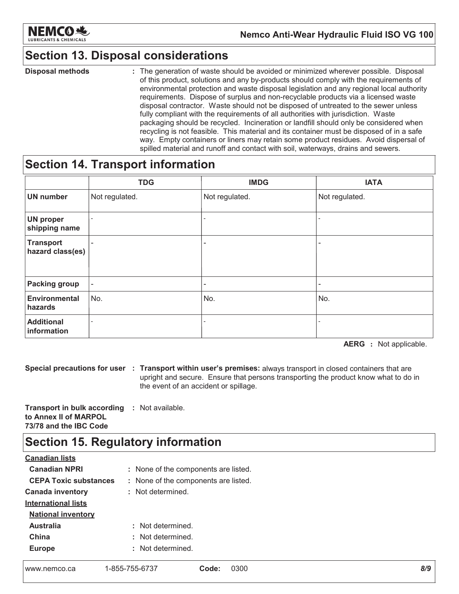

# **Section 13. Disposal considerations**

**Disposal methods** : The generation of waste should be avoided or minimized wherever possible. Disposal of this product, solutions and any by-products should comply with the requirements of environmental protection and waste disposal legislation and any regional local authority requirements. Dispose of surplus and non-recyclable products via a licensed waste disposal contractor. Waste should not be disposed of untreated to the sewer unless fully compliant with the requirements of all authorities with jurisdiction. Waste packaging should be recycled. Incineration or landfill should only be considered when recycling is not feasible. This material and its container must be disposed of in a safe way. Empty containers or liners may retain some product residues. Avoid dispersal of spilled material and runoff and contact with soil, waterways, drains and sewers.

### **Section 14. Transport information**

|                                      | <b>TDG</b>               | <b>IMDG</b>                  | <b>IATA</b>              |
|--------------------------------------|--------------------------|------------------------------|--------------------------|
| <b>UN number</b>                     | Not regulated.           | Not regulated.               | Not regulated.           |
| <b>UN proper</b><br>shipping name    |                          | $\overline{\phantom{0}}$     |                          |
| <b>Transport</b><br>hazard class(es) |                          | $\qquad \qquad \blacksquare$ |                          |
| <b>Packing group</b>                 | $\overline{\phantom{a}}$ | -                            | $\qquad \qquad -$        |
| <b>Environmental</b><br>hazards      | No.                      | No.                          | No.                      |
| <b>Additional</b><br>information     | $\overline{\phantom{a}}$ |                              | $\overline{\phantom{0}}$ |

**AERG** : Not applicable.

Special precautions for user : Transport within user's premises: always transport in closed containers that are upright and secure. Ensure that persons transporting the product know what to do in the event of an accident or spillage.

Transport in bulk according : Not available. to Annex II of MARPOL 73/78 and the IBC Code

# **Section 15. Regulatory information**

| <b>Canadian lists</b>        |                                      |
|------------------------------|--------------------------------------|
| <b>Canadian NPRI</b>         | : None of the components are listed. |
| <b>CEPA Toxic substances</b> | : None of the components are listed. |
| <b>Canada inventory</b>      | : Not determined.                    |
| <b>International lists</b>   |                                      |
| <b>National inventory</b>    |                                      |
| <b>Australia</b>             | : Not determined.                    |
| China                        | : Not determined.                    |
| <b>Europe</b>                | : Not determined.                    |
|                              |                                      |

| www.nemco.ca |  |
|--------------|--|
|              |  |